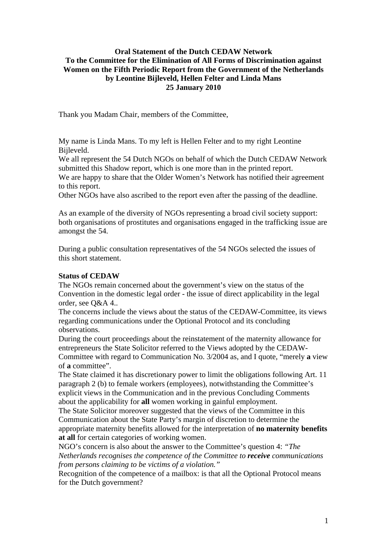# **Oral Statement of the Dutch CEDAW Network To the Committee for the Elimination of All Forms of Discrimination against Women on the Fifth Periodic Report from the Government of the Netherlands by Leontine Bijleveld, Hellen Felter and Linda Mans 25 January 2010**

Thank you Madam Chair, members of the Committee,

My name is Linda Mans. To my left is Hellen Felter and to my right Leontine Bijleveld.

We all represent the 54 Dutch NGOs on behalf of which the Dutch CEDAW Network submitted this Shadow report, which is one more than in the printed report.

We are happy to share that the Older Women's Network has notified their agreement to this report.

Other NGOs have also ascribed to the report even after the passing of the deadline.

As an example of the diversity of NGOs representing a broad civil society support: both organisations of prostitutes and organisations engaged in the trafficking issue are amongst the 54.

During a public consultation representatives of the 54 NGOs selected the issues of this short statement.

#### **Status of CEDAW**

The NGOs remain concerned about the government's view on the status of the Convention in the domestic legal order - the issue of direct applicability in the legal order, see Q&A 4..

The concerns include the views about the status of the CEDAW-Committee, its views regarding communications under the Optional Protocol and its concluding observations.

During the court proceedings about the reinstatement of the maternity allowance for entrepreneurs the State Solicitor referred to the Views adopted by the CEDAW-Committee with regard to Communication No. 3/2004 as, and I quote, "merely **a** view of **a** committee".

The State claimed it has discretionary power to limit the obligations following Art. 11 paragraph 2 (b) to female workers (employees), notwithstanding the Committee's explicit views in the Communication and in the previous Concluding Comments about the applicability for **all** women working in gainful employment.

The State Solicitor moreover suggested that the views of the Committee in this Communication about the State Party's margin of discretion to determine the appropriate maternity benefits allowed for the interpretation of **no maternity benefits at all** for certain categories of working women.

NGO's concern is also about the answer to the Committee's question 4: *"The Netherlands recognises the competence of the Committee to receive communications from persons claiming to be victims of a violation."*

Recognition of the competence of a mailbox: is that all the Optional Protocol means for the Dutch government?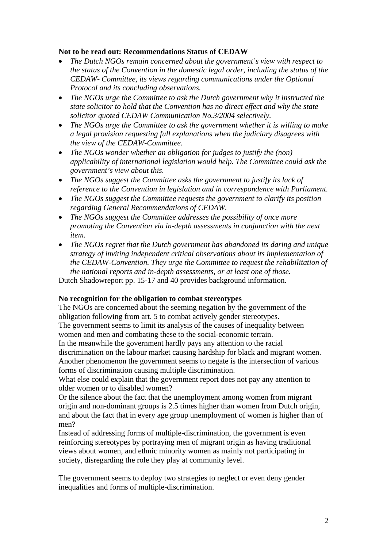### **Not to be read out: Recommendations Status of CEDAW**

- *The Dutch NGOs remain concerned about the government's view with respect to the status of the Convention in the domestic legal order, including the status of the CEDAW- Committee, its views regarding communications under the Optional Protocol and its concluding observations.*
- *The NGOs urge the Committee to ask the Dutch government why it instructed the state solicitor to hold that the Convention has no direct effect and why the state solicitor quoted CEDAW Communication No.3/2004 selectively.*
- *The NGOs urge the Committee to ask the government whether it is willing to make a legal provision requesting full explanations when the judiciary disagrees with the view of the CEDAW-Committee.*
- *The NGOs wonder whether an obligation for judges to justify the (non) applicability of international legislation would help. The Committee could ask the government's view about this.*
- *The NGOs suggest the Committee asks the government to justify its lack of reference to the Convention in legislation and in correspondence with Parliament.*
- *The NGOs suggest the Committee requests the government to clarify its position regarding General Recommendations of CEDAW.*
- *The NGOs suggest the Committee addresses the possibility of once more promoting the Convention via in-depth assessments in conjunction with the next item.*
- *The NGOs regret that the Dutch government has abandoned its daring and unique strategy of inviting independent critical observations about its implementation of the CEDAW-Convention. They urge the Committee to request the rehabilitation of the national reports and in-depth assessments, or at least one of those.*

Dutch Shadowreport pp. 15-17 and 40 provides background information.

#### **No recognition for the obligation to combat stereotypes**

The NGOs are concerned about the seeming negation by the government of the obligation following from art. 5 to combat actively gender stereotypes. The government seems to limit its analysis of the causes of inequality between women and men and combating these to the social-economic terrain.

In the meanwhile the government hardly pays any attention to the racial discrimination on the labour market causing hardship for black and migrant women. Another phenomenon the government seems to negate is the intersection of various forms of discrimination causing multiple discrimination.

What else could explain that the government report does not pay any attention to older women or to disabled women?

Or the silence about the fact that the unemployment among women from migrant origin and non-dominant groups is 2.5 times higher than women from Dutch origin, and about the fact that in every age group unemployment of women is higher than of men?

Instead of addressing forms of multiple-discrimination, the government is even reinforcing stereotypes by portraying men of migrant origin as having traditional views about women, and ethnic minority women as mainly not participating in society, disregarding the role they play at community level.

The government seems to deploy two strategies to neglect or even deny gender inequalities and forms of multiple-discrimination.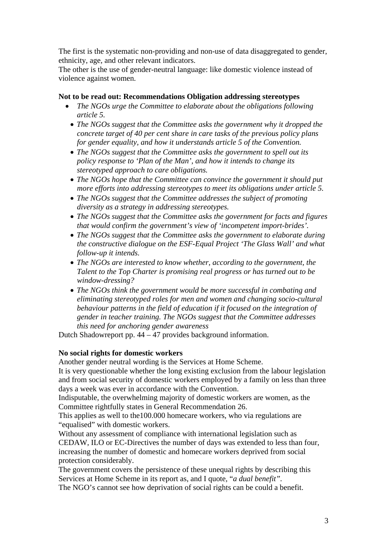The first is the systematic non-providing and non-use of data disaggregated to gender, ethnicity, age, and other relevant indicators.

The other is the use of gender-neutral language: like domestic violence instead of violence against women.

#### **Not to be read out: Recommendations Obligation addressing stereotypes**

- *The NGOs urge the Committee to elaborate about the obligations following article 5.* 
	- *The NGOs suggest that the Committee asks the government why it dropped the concrete target of 40 per cent share in care tasks of the previous policy plans for gender equality, and how it understands article 5 of the Convention.*
	- *The NGOs suggest that the Committee asks the government to spell out its policy response to 'Plan of the Man', and how it intends to change its stereotyped approach to care obligations.*
	- *The NGOs hope that the Committee can convince the government it should put more efforts into addressing stereotypes to meet its obligations under article 5.*
	- *The NGOs suggest that the Committee addresses the subject of promoting diversity as a strategy in addressing stereotypes.*
	- *The NGOs suggest that the Committee asks the government for facts and figures that would confirm the government's view of 'incompetent import-brides'.*
	- *The NGOs suggest that the Committee asks the government to elaborate during the constructive dialogue on the ESF-Equal Project 'The Glass Wall' and what follow-up it intends.*
	- *The NGOs are interested to know whether, according to the government, the Talent to the Top Charter is promising real progress or has turned out to be window-dressing?*
	- *The NGOs think the government would be more successful in combating and eliminating stereotyped roles for men and women and changing socio-cultural behaviour patterns in the field of education if it focused on the integration of gender in teacher training. The NGOs suggest that the Committee addresses this need for anchoring gender awareness*

Dutch Shadowreport pp. 44 – 47 provides background information.

#### **No social rights for domestic workers**

Another gender neutral wording is the Services at Home Scheme.

It is very questionable whether the long existing exclusion from the labour legislation and from social security of domestic workers employed by a family on less than three days a week was ever in accordance with the Convention.

Indisputable, the overwhelming majority of domestic workers are women, as the Committee rightfully states in General Recommendation 26.

This applies as well to the100.000 homecare workers, who via regulations are "equalised" with domestic workers.

Without any assessment of compliance with international legislation such as CEDAW, ILO or EC-Directives the number of days was extended to less than four, increasing the number of domestic and homecare workers deprived from social protection considerably.

The government covers the persistence of these unequal rights by describing this Services at Home Scheme in its report as, and I quote, "*a dual benefit".*

The NGO's cannot see how deprivation of social rights can be could a benefit.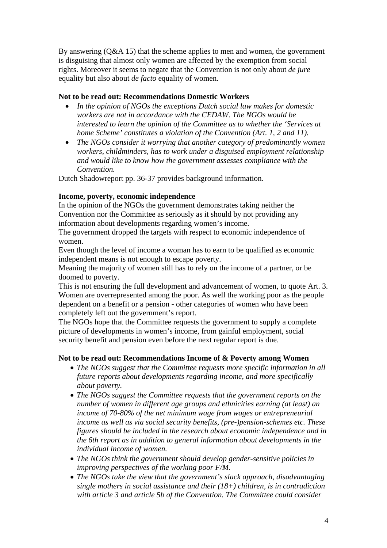By answering (Q&A 15) that the scheme applies to men and women, the government is disguising that almost only women are affected by the exemption from social rights. Moreover it seems to negate that the Convention is not only about *de jure* equality but also about *de facto* equality of women.

# **Not to be read out: Recommendations Domestic Workers**

- *In the opinion of NGOs the exceptions Dutch social law makes for domestic workers are not in accordance with the CEDAW. The NGOs would be interested to learn the opinion of the Committee as to whether the 'Services at home Scheme' constitutes a violation of the Convention (Art. 1, 2 and 11).*
- *The NGOs consider it worrying that another category of predominantly women workers, childminders, has to work under a disguised employment relationship and would like to know how the government assesses compliance with the Convention.*

Dutch Shadowreport pp. 36-37 provides background information.

# **Income, poverty, economic independence**

In the opinion of the NGOs the government demonstrates taking neither the Convention nor the Committee as seriously as it should by not providing any information about developments regarding women's income.

The government dropped the targets with respect to economic independence of women.

Even though the level of income a woman has to earn to be qualified as economic independent means is not enough to escape poverty.

Meaning the majority of women still has to rely on the income of a partner, or be doomed to poverty.

This is not ensuring the full development and advancement of women, to quote Art. 3. Women are overrepresented among the poor. As well the working poor as the people dependent on a benefit or a pension - other categories of women who have been completely left out the government's report.

The NGOs hope that the Committee requests the government to supply a complete picture of developments in women's income, from gainful employment, social security benefit and pension even before the next regular report is due.

# **Not to be read out: Recommendations Income of & Poverty among Women**

- *The NGOs suggest that the Committee requests more specific information in all future reports about developments regarding income, and more specifically about poverty.*
- *The NGOs suggest the Committee requests that the government reports on the number of women in different age groups and ethnicities earning (at least) an income of 70-80% of the net minimum wage from wages or entrepreneurial income as well as via social security benefits, (pre-)pension-schemes etc. These figures should be included in the research about economic independence and in the 6th report as in addition to general information about developments in the individual income of women.*
- *The NGOs think the government should develop gender-sensitive policies in improving perspectives of the working poor F/M.*
- *The NGOs take the view that the government's slack approach, disadvantaging single mothers in social assistance and their (18+) children, is in contradiction with article 3 and article 5b of the Convention. The Committee could consider*